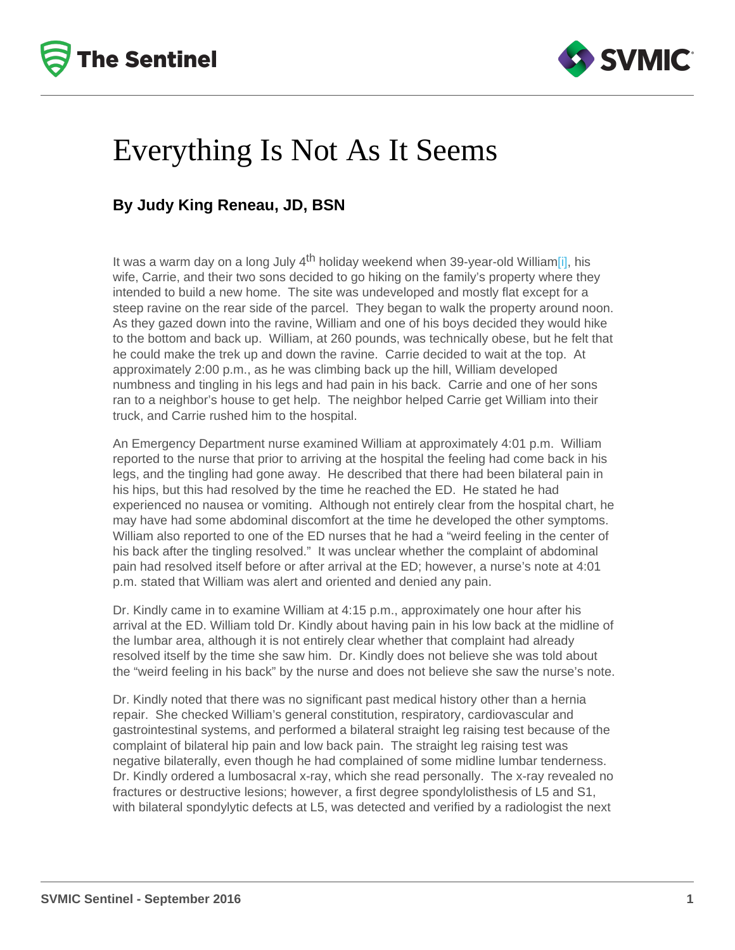## <span id="page-0-0"></span>Everything Is Not As It Seems

## By Judy King Reneau, JD, BSN

It was a warm day on a long July  $4<sup>th</sup>$  holiday weekend when 39-year-old William[\[i\],](#page-2-0) his wife, Carrie, and their two sons decided to go hiking on the family's property where they intended to build a new home. The site was undeveloped and mostly flat except for a steep ravine on the rear side of the parcel. They began to walk the property around noon. As they gazed down into the ravine, William and one of his boys decided they would hike to the bottom and back up. William, at 260 pounds, was technically obese, but he felt that he could make the trek up and down the ravine. Carrie decided to wait at the top. At approximately 2:00 p.m., as he was climbing back up the hill, William developed numbness and tingling in his legs and had pain in his back. Carrie and one of her sons ran to a neighbor's house to get help. The neighbor helped Carrie get William into their truck, and Carrie rushed him to the hospital.

An Emergency Department nurse examined William at approximately 4:01 p.m. William reported to the nurse that prior to arriving at the hospital the feeling had come back in his legs, and the tingling had gone away. He described that there had been bilateral pain in his hips, but this had resolved by the time he reached the ED. He stated he had experienced no nausea or vomiting. Although not entirely clear from the hospital chart, he may have had some abdominal discomfort at the time he developed the other symptoms. William also reported to one of the ED nurses that he had a "weird feeling in the center of his back after the tingling resolved." It was unclear whether the complaint of abdominal pain had resolved itself before or after arrival at the ED; however, a nurse's note at 4:01 p.m. stated that William was alert and oriented and denied any pain.

Dr. Kindly came in to examine William at 4:15 p.m., approximately one hour after his arrival at the ED. William told Dr. Kindly about having pain in his low back at the midline of the lumbar area, although it is not entirely clear whether that complaint had already resolved itself by the time she saw him. Dr. Kindly does not believe she was told about the "weird feeling in his back" by the nurse and does not believe she saw the nurse's note.

Dr. Kindly noted that there was no significant past medical history other than a hernia repair. She checked William's general constitution, respiratory, cardiovascular and gastrointestinal systems, and performed a bilateral straight leg raising test because of the complaint of bilateral hip pain and low back pain. The straight leg raising test was negative bilaterally, even though he had complained of some midline lumbar tenderness. Dr. Kindly ordered a lumbosacral x-ray, which she read personally. The x-ray revealed no fractures or destructive lesions; however, a first degree spondylolisthesis of L5 and S1, with bilateral spondylytic defects at L5, was detected and verified by a radiologist the next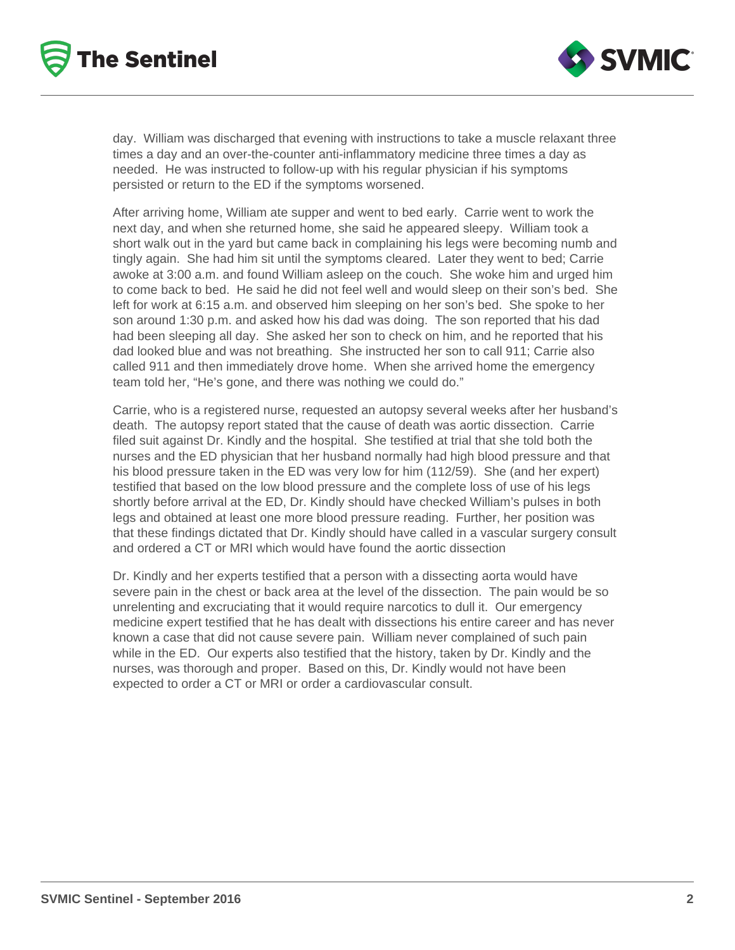



day. William was discharged that evening with instructions to take a muscle relaxant three times a day and an over-the-counter anti-inflammatory medicine three times a day as needed. He was instructed to follow-up with his regular physician if his symptoms persisted or return to the ED if the symptoms worsened.

After arriving home, William ate supper and went to bed early. Carrie went to work the next day, and when she returned home, she said he appeared sleepy. William took a short walk out in the yard but came back in complaining his legs were becoming numb and tingly again. She had him sit until the symptoms cleared. Later they went to bed; Carrie awoke at 3:00 a.m. and found William asleep on the couch. She woke him and urged him to come back to bed. He said he did not feel well and would sleep on their son's bed. She left for work at 6:15 a.m. and observed him sleeping on her son's bed. She spoke to her son around 1:30 p.m. and asked how his dad was doing. The son reported that his dad had been sleeping all day. She asked her son to check on him, and he reported that his dad looked blue and was not breathing. She instructed her son to call 911; Carrie also called 911 and then immediately drove home. When she arrived home the emergency team told her, "He's gone, and there was nothing we could do."

Carrie, who is a registered nurse, requested an autopsy several weeks after her husband's death. The autopsy report stated that the cause of death was aortic dissection. Carrie filed suit against Dr. Kindly and the hospital. She testified at trial that she told both the nurses and the ED physician that her husband normally had high blood pressure and that his blood pressure taken in the ED was very low for him (112/59). She (and her expert) testified that based on the low blood pressure and the complete loss of use of his legs shortly before arrival at the ED, Dr. Kindly should have checked William's pulses in both legs and obtained at least one more blood pressure reading. Further, her position was that these findings dictated that Dr. Kindly should have called in a vascular surgery consult and ordered a CT or MRI which would have found the aortic dissection

Dr. Kindly and her experts testified that a person with a dissecting aorta would have severe pain in the chest or back area at the level of the dissection. The pain would be so unrelenting and excruciating that it would require narcotics to dull it. Our emergency medicine expert testified that he has dealt with dissections his entire career and has never known a case that did not cause severe pain. William never complained of such pain while in the ED. Our experts also testified that the history, taken by Dr. Kindly and the nurses, was thorough and proper. Based on this, Dr. Kindly would not have been expected to order a CT or MRI or order a cardiovascular consult.